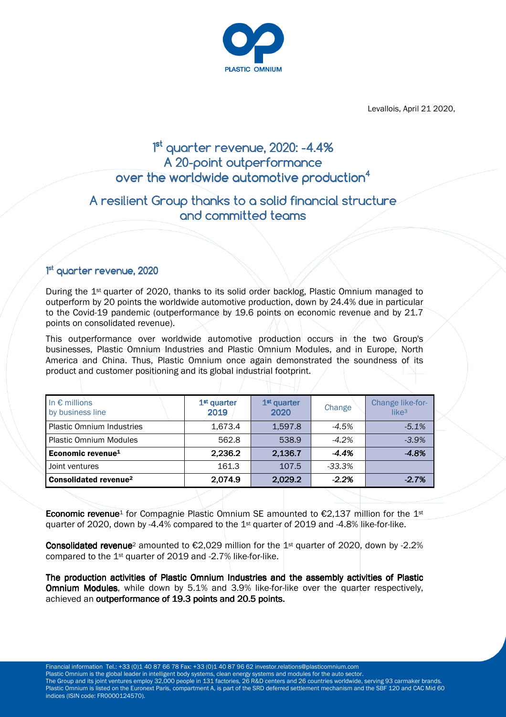

Levallois, April 21 2020,

# 1<sup>st</sup> quarter revenue, 2020: -4.4% A 20-point outperformance over the worldwide automotive production $\mathrm{^4}$

## A resilient Group thanks to a solid financial structure and committed teams

### 1<sup>st</sup> quarter revenue, 2020

During the 1st quarter of 2020, thanks to its solid order backlog, Plastic Omnium managed to outperform by 20 points the worldwide automotive production, down by 24.4% due in particular to the Covid-19 pandemic (outperformance by 19.6 points on economic revenue and by 21.7 points on consolidated revenue).

This outperformance over worldwide automotive production occurs in the two Group's businesses, Plastic Omnium Industries and Plastic Omnium Modules, and in Europe, North America and China. Thus, Plastic Omnium once again demonstrated the soundness of its product and customer positioning and its global industrial footprint.

| In $\epsilon$ millions<br>by business line | 1 <sup>st</sup> quarter<br>2019 | 1 <sup>st</sup> quarter<br>2020 | Change    | Change like-for-<br>like $3$ |
|--------------------------------------------|---------------------------------|---------------------------------|-----------|------------------------------|
| <b>Plastic Omnium Industries</b>           | 1,673.4                         | 1,597.8                         | -4.5%     | $-5.1%$                      |
| <b>Plastic Omnium Modules</b>              | 562.8                           | 538.9                           | $-4.2\%$  | $-3.9%$                      |
| Economic revenue <sup>1</sup>              | 2,236.2                         | 2,136.7                         | $-4.4%$   | $-4.8%$                      |
| Joint ventures                             | 161.3                           | 107.5                           | $-33.3\%$ |                              |
| <b>Consolidated revenue<sup>2</sup></b>    | 2,074.9                         | 2,029.2                         | $-2.2%$   | $-2.7%$                      |

**Economic revenue**<sup>1</sup> for Compagnie Plastic Omnium SE amounted to  $\epsilon$ 2,137 million for the 1<sup>st</sup> quarter of 2020, down by -4.4% compared to the 1st quarter of 2019 and -4.8% like-for-like.

**Consolidated revenue**<sup>2</sup> amounted to  $\epsilon$ 2,029 million for the 1<sup>st</sup> quarter of 2020, down by -2.2% compared to the 1st quarter of 2019 and -2.7% like-for-like.

The production activities of Plastic Omnium Industries and the assembly activities of Plastic **Omnium Modules**, while down by 5.1% and 3.9% like-for-like over the quarter respectively, achieved an outperformance of 19.3 points and 20.5 points.

 Plastic Omnium is listed on the Euronext Paris, compartment A, is part of the SRD deferred settlement mechanism and the SBF 120 and CAC Mid 60 Financial information Tel.: +33 (0)1 40 87 66 78 Fax: +33 (0)1 40 87 96 62 investor.relations@plasticomnium.com Plastic Omnium is the global leader in intelligent body systems, clean energy systems and modules for the auto sector. The Group and its joint ventures employ 32,000 people in 131 factories, 26 R&D centers and 26 countries worldwide, serving 93 carmaker brands. indices (ISIN code: FR0000124570).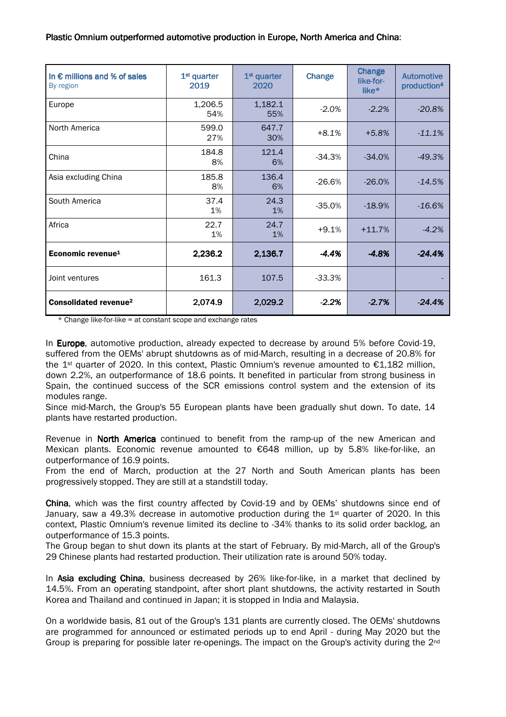| In $\epsilon$ millions and % of sales<br>By region | 1 <sup>st</sup> quarter<br>2019 | 1 <sup>st</sup> quarter<br>2020 | <b>Change</b> | Change<br>like-for-<br>like* | <b>Automotive</b><br>production <sup>4</sup> |
|----------------------------------------------------|---------------------------------|---------------------------------|---------------|------------------------------|----------------------------------------------|
| Europe                                             | 1,206.5<br>54%                  | 1,182.1<br>55%                  | $-2.0%$       | $-2.2%$                      | $-20.8%$                                     |
| North America                                      | 599.0<br>27%                    | 647.7<br>30%                    | $+8.1%$       | $+5.8%$                      | $-11.1%$                                     |
| China                                              | 184.8<br>8%                     | 121.4<br>6%                     | $-34.3%$      | $-34.0%$                     | $-49.3%$                                     |
| Asia excluding China                               | 185.8<br>8%                     | 136.4<br>6%                     | $-26.6%$      | $-26.0%$                     | $-14.5%$                                     |
| South America                                      | 37.4<br>1%                      | 24.3<br>1%                      | $-35.0%$      | $-18.9%$                     | $-16.6%$                                     |
| Africa                                             | 22.7<br>1%                      | 24.7<br>1%                      | $+9.1%$       | $+11.7%$                     | $-4.2%$                                      |
| Economic revenue <sup>1</sup>                      | 2,236.2                         | 2,136.7                         | $-4.4%$       | $-4.8%$                      | $-24.4%$                                     |
| Joint ventures                                     | 161.3                           | 107.5                           | $-33.3%$      |                              |                                              |
| <b>Consolidated revenue<sup>2</sup></b>            | 2,074.9                         | 2,029.2                         | $-2.2%$       | $-2.7%$                      | $-24.4%$                                     |

\* Change like-for-like = at constant scope and exchange rates

In **Europe**, automotive production, already expected to decrease by around 5% before Covid-19, suffered from the OEMs' abrupt shutdowns as of mid-March, resulting in a decrease of 20.8% for the 1st quarter of 2020. In this context, Plastic Omnium's revenue amounted to €1,182 million, down 2.2%, an outperformance of 18.6 points. It benefited in particular from strong business in Spain, the continued success of the SCR emissions control system and the extension of its modules range.

Since mid-March, the Group's 55 European plants have been gradually shut down. To date, 14 plants have restarted production.

Revenue in **North America** continued to benefit from the ramp-up of the new American and Mexican plants. Economic revenue amounted to €648 million, up by 5.8% like-for-like, an outperformance of 16.9 points.

From the end of March, production at the 27 North and South American plants has been progressively stopped. They are still at a standstill today.

China, which was the first country affected by Covid-19 and by OEMs' shutdowns since end of January, saw a 49.3% decrease in automotive production during the 1st quarter of 2020. In this context, Plastic Omnium's revenue limited its decline to -34% thanks to its solid order backlog, an outperformance of 15.3 points.

The Group began to shut down its plants at the start of February. By mid-March, all of the Group's 29 Chinese plants had restarted production. Their utilization rate is around 50% today.

In Asia excluding China, business decreased by 26% like-for-like, in a market that declined by 14.5%. From an operating standpoint, after short plant shutdowns, the activity restarted in South Korea and Thailand and continued in Japan; it is stopped in India and Malaysia.

On a worldwide basis, 81 out of the Group's 131 plants are currently closed. The OEMs' shutdowns are programmed for announced or estimated periods up to end April - during May 2020 but the Group is preparing for possible later re-openings. The impact on the Group's activity during the 2nd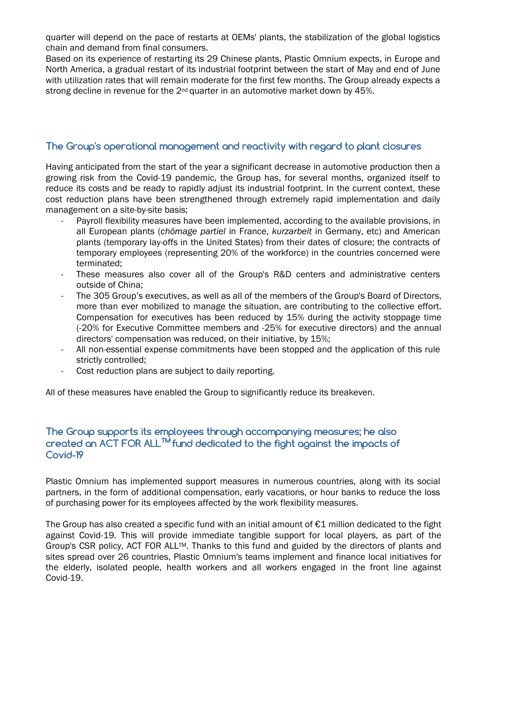quarter will depend on the pace of restarts at OEMs' plants, the stabilization of the global logistics chain and demand from final consumers.

Based on its experience of restarting its 29 Chinese plants, Plastic Omnium expects, in Europe and North America, a gradual restart of its industrial footprint between the start of May and end of June with utilization rates that will remain moderate for the first few months. The Group already expects a strong decline in revenue for the  $2^{nd}$  quarter in an automotive market down by 45%.

#### The Group's operational management and reactivity with regard to plant closures

Having anticipated from the start of the year a significant decrease in automotive production then a growing risk from the Covid-19 pandemic, the Group has, for several months, organized itself to reduce its costs and be ready to rapidly adjust its industrial footprint. In the current context, these cost reduction plans have been strengthened through extremely rapid implementation and daily management on a site-by-site basis;

- Payroll flexibility measures have been implemented, according to the available provisions, in all European plants (*chômage partiel* in France, *kurzarbeit* in Germany, etc) and American plants (temporary lay-offs in the United States) from their dates of closure; the contracts of temporary employees (representing 20% of the workforce) in the countries concerned were terminated;
- These measures also cover all of the Group's R&D centers and administrative centers outside of China;
- The 305 Group's executives, as well as all of the members of the Group's Board of Directors, more than ever mobilized to manage the situation, are contributing to the collective effort. Compensation for executives has been reduced by 15% during the activity stoppage time (-20% for Executive Committee members and -25% for executive directors) and the annual directors' compensation was reduced, on their initiative, by 15%;
- All non-essential expense commitments have been stopped and the application of this rule strictly controlled;
- Cost reduction plans are subject to daily reporting.

All of these measures have enabled the Group to significantly reduce its breakeven.

#### The Group supports its employees through accompanying measures; he also created an ACT FOR ALL<sup>TM</sup> fund dedicated to the fight against the impacts of Covid-19

Plastic Omnium has implemented support measures in numerous countries, along with its social partners, in the form of additional compensation, early vacations, or hour banks to reduce the loss of purchasing power for its employees affected by the work flexibility measures.

The Group has also created a specific fund with an initial amount of  $\epsilon$ 1 million dedicated to the fight against Covid-19. This will provide immediate tangible support for local players, as part of the Group's CSR policy, ACT FOR ALLTM. Thanks to this fund and guided by the directors of plants and sites spread over 26 countries, Plastic Omnium's teams implement and finance local initiatives for the elderly, isolated people, health workers and all workers engaged in the front line against Covid-19.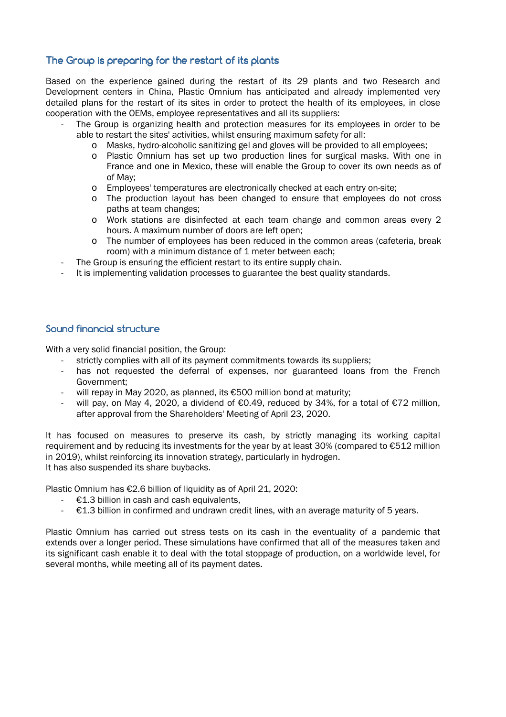#### The Group is preparing for the restart of its plants

Based on the experience gained during the restart of its 29 plants and two Research and Development centers in China, Plastic Omnium has anticipated and already implemented very detailed plans for the restart of its sites in order to protect the health of its employees, in close cooperation with the OEMs, employee representatives and all its suppliers:

- The Group is organizing health and protection measures for its employees in order to be able to restart the sites' activities, whilst ensuring maximum safety for all:
	- o Masks, hydro-alcoholic sanitizing gel and gloves will be provided to all employees;
	- o Plastic Omnium has set up two production lines for surgical masks. With one in France and one in Mexico, these will enable the Group to cover its own needs as of of May;
	- o Employees' temperatures are electronically checked at each entry on-site;
	- o The production layout has been changed to ensure that employees do not cross paths at team changes;
	- o Work stations are disinfected at each team change and common areas every 2 hours. A maximum number of doors are left open;
	- o The number of employees has been reduced in the common areas (cafeteria, break room) with a minimum distance of 1 meter between each;
	- The Group is ensuring the efficient restart to its entire supply chain.
- It is implementing validation processes to guarantee the best quality standards.

#### Sound financial structure

With a very solid financial position, the Group:

- strictly complies with all of its payment commitments towards its suppliers;
- has not requested the deferral of expenses, nor guaranteed loans from the French Government;
- will repay in May 2020, as planned, its €500 million bond at maturity;
- will pay, on May 4, 2020, a dividend of  $\epsilon$ 0.49, reduced by 34%, for a total of  $\epsilon$ 72 million, after approval from the Shareholders' Meeting of April 23, 2020.

It has focused on measures to preserve its cash, by strictly managing its working capital requirement and by reducing its investments for the year by at least 30% (compared to €512 million in 2019), whilst reinforcing its innovation strategy, particularly in hydrogen. It has also suspended its share buybacks.

Plastic Omnium has €2.6 billion of liquidity as of April 21, 2020:

- €1.3 billion in cash and cash equivalents,
- $E1.3$  billion in confirmed and undrawn credit lines, with an average maturity of 5 years.

Plastic Omnium has carried out stress tests on its cash in the eventuality of a pandemic that extends over a longer period. These simulations have confirmed that all of the measures taken and its significant cash enable it to deal with the total stoppage of production, on a worldwide level, for several months, while meeting all of its payment dates.